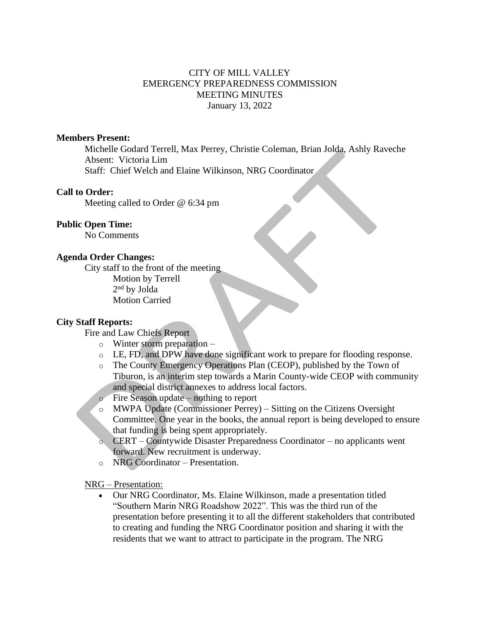# CITY OF MILL VALLEY EMERGENCY PREPAREDNESS COMMISSION MEETING MINUTES January 13, 2022

# **Members Present:**

Michelle Godard Terrell, Max Perrey, Christie Coleman, Brian Jolda, Ashly Raveche Absent: Victoria Lim Staff: Chief Welch and Elaine Wilkinson, NRG Coordinator

## **Call to Order:**

Meeting called to Order @ 6:34 pm

# **Public Open Time:**

No Comments

#### **Agenda Order Changes:**

City staff to the front of the meeting Motion by Terrell 2 nd by Jolda Motion Carried

## **City Staff Reports:**

Fire and Law Chiefs Report

- o Winter storm preparation –
- o LE, FD, and DPW have done significant work to prepare for flooding response.
- o The County Emergency Operations Plan (CEOP), published by the Town of Tiburon, is an interim step towards a Marin County-wide CEOP with community and special district annexes to address local factors.
- o Fire Season update nothing to report
- o MWPA Update (Commissioner Perrey) Sitting on the Citizens Oversight Committee. One year in the books, the annual report is being developed to ensure that funding is being spent appropriately.
- o CERT Countywide Disaster Preparedness Coordinator no applicants went forward. New recruitment is underway.
- o NRG Coordinator Presentation.

NRG – Presentation:

• Our NRG Coordinator, Ms. Elaine Wilkinson, made a presentation titled "Southern Marin NRG Roadshow 2022". This was the third run of the presentation before presenting it to all the different stakeholders that contributed to creating and funding the NRG Coordinator position and sharing it with the residents that we want to attract to participate in the program. The NRG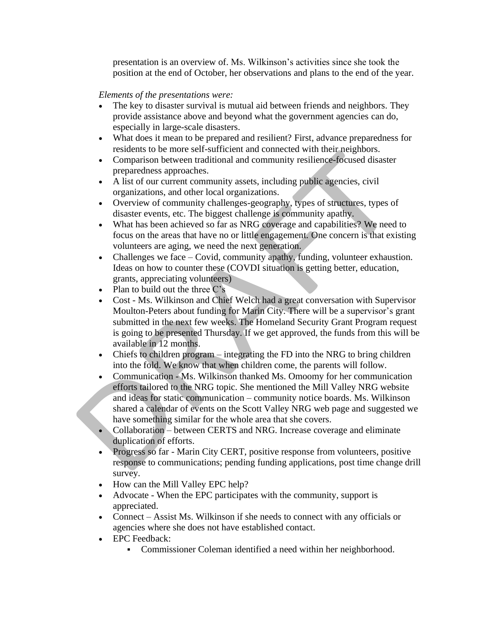presentation is an overview of. Ms. Wilkinson's activities since she took the position at the end of October, her observations and plans to the end of the year.

# *Elements of the presentations were:*

- The key to disaster survival is mutual aid between friends and neighbors. They provide assistance above and beyond what the government agencies can do, especially in large-scale disasters.
- What does it mean to be prepared and resilient? First, advance preparedness for residents to be more self-sufficient and connected with their neighbors.
- Comparison between traditional and community resilience-focused disaster preparedness approaches.
- A list of our current community assets, including public agencies, civil organizations, and other local organizations.
- Overview of community challenges-geography, types of structures, types of disaster events, etc. The biggest challenge is community apathy.
- What has been achieved so far as NRG coverage and capabilities? We need to focus on the areas that have no or little engagement. One concern is that existing volunteers are aging, we need the next generation.
- Challenges we face Covid, community apathy, funding, volunteer exhaustion. Ideas on how to counter these (COVDI situation is getting better, education, grants, appreciating volunteers)
- Plan to build out the three C's
- Cost Ms. Wilkinson and Chief Welch had a great conversation with Supervisor Moulton-Peters about funding for Marin City. There will be a supervisor's grant submitted in the next few weeks. The Homeland Security Grant Program request is going to be presented Thursday. If we get approved, the funds from this will be available in 12 months.
- Chiefs to children program integrating the FD into the NRG to bring children into the fold. We know that when children come, the parents will follow.
- Communication Ms. Wilkinson thanked Ms. Omoomy for her communication efforts tailored to the NRG topic. She mentioned the Mill Valley NRG website and ideas for static communication – community notice boards. Ms. Wilkinson shared a calendar of events on the Scott Valley NRG web page and suggested we have something similar for the whole area that she covers.
- Collaboration between CERTS and NRG. Increase coverage and eliminate duplication of efforts.
- Progress so far Marin City CERT, positive response from volunteers, positive response to communications; pending funding applications, post time change drill survey.
- How can the Mill Valley EPC help?
- Advocate When the EPC participates with the community, support is appreciated.
- Connect Assist Ms. Wilkinson if she needs to connect with any officials or agencies where she does not have established contact.
- EPC Feedback:
	- Commissioner Coleman identified a need within her neighborhood.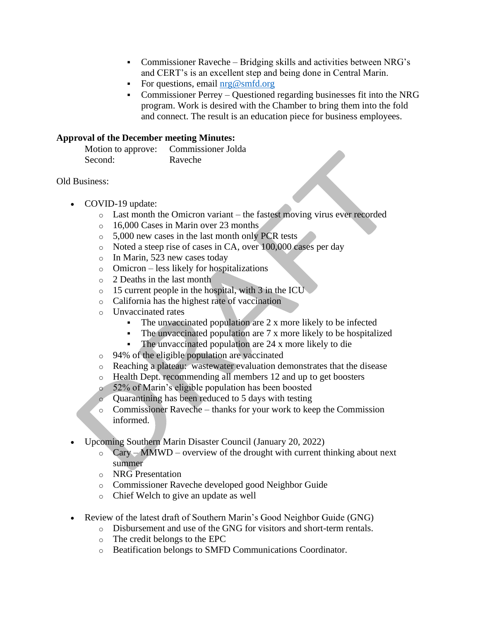- Commissioner Raveche Bridging skills and activities between NRG's and CERT's is an excellent step and being done in Central Marin.
- For questions, email  $nrg@smfd.org$
- Commissioner Perrey Questioned regarding businesses fit into the NRG program. Work is desired with the Chamber to bring them into the fold and connect. The result is an education piece for business employees.

## **Approval of the December meeting Minutes:**

| Motion to approve: | Commissioner Jolda |
|--------------------|--------------------|
| Second:            | Raveche            |

#### Old Business:

- COVID-19 update:
	- o Last month the Omicron variant the fastest moving virus ever recorded
	- o 16,000 Cases in Marin over 23 months
	- o 5,000 new cases in the last month only PCR tests
	- o Noted a steep rise of cases in CA, over 100,000 cases per day
	- o In Marin, 523 new cases today
	- o Omicron less likely for hospitalizations
	- o 2 Deaths in the last month
	- $\circ$  15 current people in the hospital, with 3 in the ICU
	- o California has the highest rate of vaccination
	- o Unvaccinated rates
		- The unvaccinated population are  $2 \times$  more likely to be infected
		- The unvaccinated population are  $7 \times$  more likely to be hospitalized
		- The unvaccinated population are 24 x more likely to die
	- o 94% of the eligible population are vaccinated
	- o Reaching a plateau: wastewater evaluation demonstrates that the disease
	- o Health Dept. recommending all members 12 and up to get boosters
	- o 52% of Marin's eligible population has been boosted
	- o Quarantining has been reduced to 5 days with testing
	- o Commissioner Raveche thanks for your work to keep the Commission informed.
- Upcoming Southern Marin Disaster Council (January 20, 2022)
	- $\circ$  Cary MMWD overview of the drought with current thinking about next summer
	- o NRG Presentation
	- o Commissioner Raveche developed good Neighbor Guide
	- o Chief Welch to give an update as well
- Review of the latest draft of Southern Marin's Good Neighbor Guide (GNG)
	- o Disbursement and use of the GNG for visitors and short-term rentals.
	- o The credit belongs to the EPC
	- o Beatification belongs to SMFD Communications Coordinator.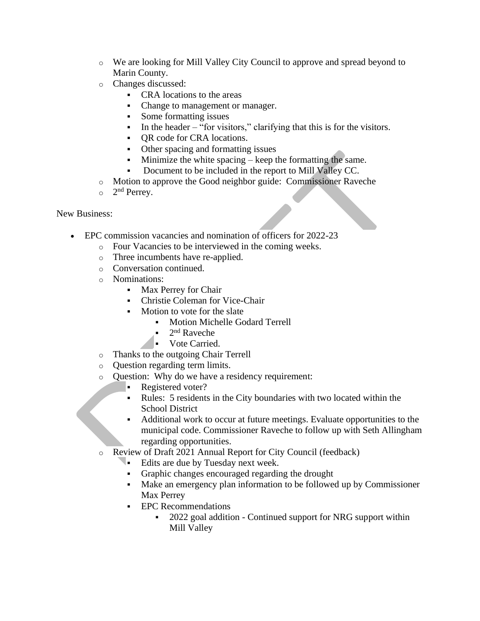- o We are looking for Mill Valley City Council to approve and spread beyond to Marin County.
- o Changes discussed:
	- CRA locations to the areas
	- Change to management or manager.
	- Some formatting issues
	- $\blacksquare$  In the header "for visitors," clarifying that this is for the visitors.
	- QR code for CRA locations.
	- Other spacing and formatting issues
	- Minimize the white spacing keep the formatting the same.
	- Document to be included in the report to Mill Valley CC.
- o Motion to approve the Good neighbor guide: Commissioner Raveche
- $\circ$  2<sup>nd</sup> Perrey.

New Business:

- EPC commission vacancies and nomination of officers for 2022-23
	- o Four Vacancies to be interviewed in the coming weeks.
	- o Three incumbents have re-applied.
	- o Conversation continued.
	- o Nominations:
		- **Max Perrey for Chair**
		- Christie Coleman for Vice-Chair
		- Motion to vote for the slate
			- Motion Michelle Godard Terrell
			- $\blacksquare$  2<sup>nd</sup> Raveche
			- Vote Carried.
	- o Thanks to the outgoing Chair Terrell
	- o Question regarding term limits.
	- o Question: Why do we have a residency requirement:
		- Registered voter?
		- Rules: 5 residents in the City boundaries with two located within the School District
		- Additional work to occur at future meetings. Evaluate opportunities to the municipal code. Commissioner Raveche to follow up with Seth Allingham regarding opportunities.
	- o Review of Draft 2021 Annual Report for City Council (feedback)
		- **Edits are due by Tuesday next week.** 
			- Graphic changes encouraged regarding the drought
			- Make an emergency plan information to be followed up by Commissioner Max Perrey
			- EPC Recommendations
				- 2022 goal addition Continued support for NRG support within Mill Valley